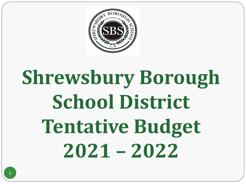

# **Shrewsbury Borough School District Tentative Budget 2021 – 2022**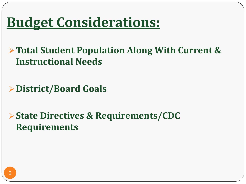### **Budget Considerations:**

**Total Student Population Along With Current & Instructional Needs**

**District/Board Goals**

**State Directives & Requirements/CDC Requirements**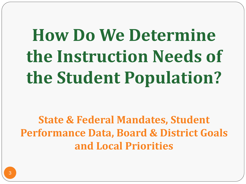## **How Do We Determine the Instruction Needs of the Student Population?**

**State & Federal Mandates, Student Performance Data, Board & District Goals and Local Priorities**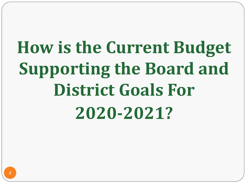## **How is the Current Budget Supporting the Board and District Goals For 2020-2021?**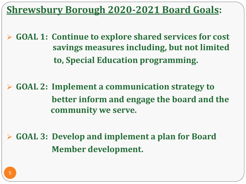**Shrewsbury Borough 2020-2021 Board Goals:** 

 **GOAL 1: Continue to explore shared services for cost savings measures including, but not limited to, Special Education programming.**

 **GOAL 2: Implement a communication strategy to better inform and engage the board and the community we serve.**

 **GOAL 3: Develop and implement a plan for Board Member development.**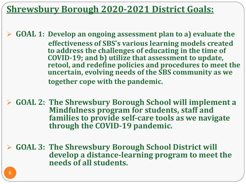**Shrewsbury Borough 2020-2021 District Goals:** 

 **GOAL 1: Develop an ongoing assessment plan to a) evaluate the effectiveness of SBS's various learning models created to address the challenges of educating in the time of COVID-19; and b) utilize that assessment to update, retool, and redefine policies and procedures to meet the uncertain, evolving needs of the SBS community as we together cope with the pandemic.**

 **GOAL 2: The Shrewsbury Borough School will implement a Mindfulness program for students, staff and families to provide self-care tools as we navigate through the COVID-19 pandemic.**

 **GOAL 3: The Shrewsbury Borough School District will develop a distance-learning program to meet the needs of all students.**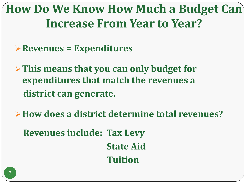**How Do We Know How Much a Budget Can Increase From Year to Year?**

- **Revenues = Expenditures**
- **This means that you can only budget for expenditures that match the revenues a district can generate.**
- **How does a district determine total revenues?**
	- **Revenues include: Tax Levy State Aid Tuition**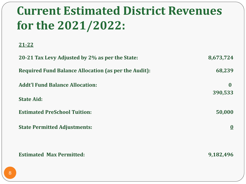### **Current Estimated District Revenues for the 2021/2022:**

**21-22**

| 20-21 Tax Levy Adjusted by 2% as per the State:             | 8,673,724               |
|-------------------------------------------------------------|-------------------------|
| <b>Required Fund Balance Allocation (as per the Audit):</b> | 68,239                  |
| <b>Addt'l Fund Balance Allocation:</b>                      | $\mathbf{0}$<br>390,533 |
| <b>State Aid:</b>                                           |                         |
| <b>Estimated PreSchool Tuition:</b>                         | 50,000                  |
| <b>State Permitted Adjustments:</b>                         | $\bf{0}$                |
|                                                             |                         |
| <b>Estimated Max Permitted:</b>                             | 9,182,496               |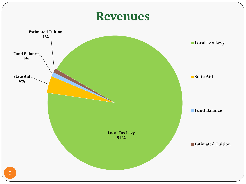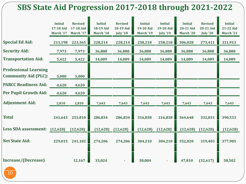#### **SBS State Aid Progression 2017-2018 through 2021-2022**

|                                                             | <b>Initial</b><br>17-18 Aid<br>March '17 | <b>Revised</b><br>17-18 Aid<br>March '17 | <b>Initial</b><br>18-19 Aid<br>March '18 | <b>Revised</b><br>18-19 Aid<br><b>July '18</b> | <b>Initial</b><br>19-20 Aid<br>March '19 | <b>Initial</b><br>19-20 Aid<br><b>July '19</b> | <b>Initial</b><br>20-21 Aid<br>March '20 | <b>Revised</b><br>20-21 Aid<br>July '20 | <b>Initial</b><br>21-22 Aid<br>March '21 |
|-------------------------------------------------------------|------------------------------------------|------------------------------------------|------------------------------------------|------------------------------------------------|------------------------------------------|------------------------------------------------|------------------------------------------|-----------------------------------------|------------------------------------------|
| <b>Special Ed Aid:</b>                                      | 211,198                                  | 223,365                                  | 228,214                                  | 228,214                                        | 258,218                                  | 258,218                                        | 306,028                                  | 273,411                                 | 331,913                                  |
| <b>Security Aid:</b>                                        | 7,973                                    | 7,973                                    | 36,888                                   | 36,888                                         | 36,888                                   | 36,888                                         | 36,888                                   | 36,888                                  | 36,888                                   |
| <b>Transportation Aid:</b>                                  | 5,422                                    | 5,422                                    | 14,089                                   | 14,089                                         | 14,089                                   | 14,089                                         | 14,089                                   | 14,089                                  | 14,089                                   |
| <b>Professional Learning</b><br><b>Community Aid (PLC):</b> | 5,000                                    | 5,000                                    |                                          |                                                |                                          |                                                |                                          |                                         |                                          |
| <b>PARCC Readiness Aid:</b>                                 | 4,620                                    | 4,620                                    |                                          |                                                |                                          |                                                |                                          |                                         |                                          |
| <b>Per Pupil Growth Aid:</b>                                | 4,620                                    | 4,620                                    |                                          |                                                |                                          |                                                |                                          |                                         |                                          |
| <b>Adjustment Aid:</b>                                      | 2,810                                    | 2,810                                    | 7,643                                    | 7,643                                          | 7,643                                    | 7,643                                          | 7,643                                    | 7,643                                   | 7,643                                    |
| <b>Total</b>                                                | 241,643                                  | 253,810                                  | 286,834                                  | 286,834                                        | 316,838                                  | 316,838                                        | 364,648                                  | 332,031                                 | 390,533                                  |
| Less SDA assessment: (12,628) (12,628)                      |                                          |                                          | (12, 628)                                | (12, 628)                                      | (12, 628)                                | (12, 628)                                      | (12, 628)                                | (12, 628)                               | (12, 628)                                |
| <b>Net State Aid:</b>                                       | 229,015                                  | 241,182                                  | 274,206                                  | 274,206                                        | 304,210                                  | 304,210                                        | 352,020                                  | 319,403                                 | 377,905                                  |
| Increase/(Decrease)                                         |                                          | 12,167                                   | 33,024                                   |                                                | 30,004                                   |                                                | 47,810                                   | (32, 617)                               | 58,502                                   |

10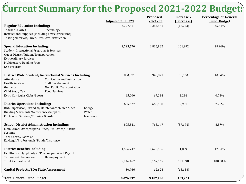#### **Current Summary for the Proposed 2021-2022 Budget:**

|                                                                                                                                                                                                                 |                                                                                                             |                              | <b>Adjusted 2020/21</b> | Proposed<br>2021/22 | Increase /<br>(Decrease) | <b>Percentage of General</b><br><b>Fund Budget</b> |
|-----------------------------------------------------------------------------------------------------------------------------------------------------------------------------------------------------------------|-------------------------------------------------------------------------------------------------------------|------------------------------|-------------------------|---------------------|--------------------------|----------------------------------------------------|
| <b>Regular Education Including:</b><br><b>Teacher Salaries</b><br>Instructional Supplies (including new curriculums)<br>Testing Materials/Purch. Prof. Svcs-Instruction                                         | Technology                                                                                                  |                              | 3,277,511               | 3,264,561           | (15, 253)                | 35.54%                                             |
| <b>Special Education Including:</b><br>Student Instructional Programs & Services<br>Out of District Tuition/Transportation<br><b>Extraordinary Services</b><br>Multisensory Reading Prog.<br><b>ESY Program</b> |                                                                                                             |                              | 1,725,570               | 1,826,862           | 101,292                  | 19.94%                                             |
| <b>District Wide Student/Instructional Services Including:</b><br>Attendance<br><b>Health Services</b><br>Guidance<br>Child Study Team                                                                          | Curriculum and Instruction<br><b>Staff Development</b><br>Non Public Transportation<br><b>Food Services</b> |                              | 890,371                 | 948,871             | 58,500                   | 10.34%                                             |
| Extra Curricular Clubs/Sports:                                                                                                                                                                                  |                                                                                                             |                              | 65,000                  | 67,284              | 2,284                    | 0.73%                                              |
| <b>District Operations Including:</b><br>B&G Supervisor/Custodial/Maintenance/Lunch Aides<br>Building & Grounds Maintenance/Supplies<br><b>Contracted Services/Crossing Guards</b>                              |                                                                                                             | Energy<br>Water<br>Insurance | 655,627                 | 665,558             | 9,931                    | 7.25%                                              |
| <b>School District Administration Including:</b><br>Main School Office/Super's Office/Bus. Office/ District<br>Systems<br>Tech Coord,/Board of<br>Ed/Legal/Professionals/Bonds/Insurance                        |                                                                                                             |                              | 805,341                 | 768,147             | (37, 194)                | 8.37%                                              |
| <b>District Benefits Including:</b><br>Health/Dental/opt out/SS/Pension pmts/Ret. Payout                                                                                                                        |                                                                                                             |                              | 1,626,747               | 1,628,586           | 1,839                    | 17.84%                                             |
| <b>Tuition Reimbursement</b><br>Total General Fund:                                                                                                                                                             | Unemployment                                                                                                |                              | 9,046,167               | 9,167,565           | 121,398                  | 100.00%                                            |
| <b>Capital Projects/SDA State Assessment</b>                                                                                                                                                                    |                                                                                                             |                              | 30,766                  | 12,628              | (18, 138)                |                                                    |
| Total General Fund Budget:                                                                                                                                                                                      |                                                                                                             |                              | 9,076,932               | 9,182,496           | 103,261                  |                                                    |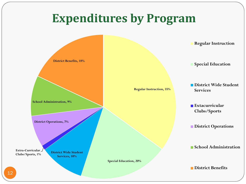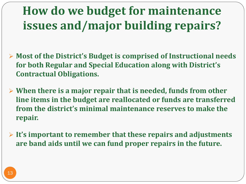### **How do we budget for maintenance issues and/major building repairs?**

- **Most of the District's Budget is comprised of Instructional needs for both Regular and Special Education along with District's Contractual Obligations.**
- **When there is a major repair that is needed, funds from other line items in the budget are reallocated or funds are transferred from the district's minimal maintenance reserves to make the repair.**
- **It's important to remember that these repairs and adjustments are band aids until we can fund proper repairs in the future.**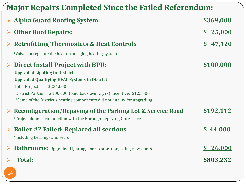| <b>Major Repairs Completed Since the Failed Referendum:</b> |                                                                          |           |  |  |  |  |
|-------------------------------------------------------------|--------------------------------------------------------------------------|-----------|--|--|--|--|
|                                                             | <b>Alpha Guard Roofing System:</b>                                       | \$369,000 |  |  |  |  |
|                                                             | <b>Other Roof Repairs:</b>                                               | \$25,000  |  |  |  |  |
|                                                             | <b>Retrofitting Thermostats &amp; Heat Controls</b>                      | \$47,120  |  |  |  |  |
|                                                             | *Valves to regulate the heat on an aging heating system                  |           |  |  |  |  |
| $\blacktriangleright$                                       | <b>Direct Install Project with BPU:</b>                                  | \$100,000 |  |  |  |  |
|                                                             | <b>Upgraded Lighting in District</b>                                     |           |  |  |  |  |
|                                                             | <b>Upgraded Qualifying HVAC Systems in District</b>                      |           |  |  |  |  |
|                                                             | <b>Total Project:</b><br>\$224,000                                       |           |  |  |  |  |
|                                                             | District Portion: \$100,000 (paid back over 3 yrs) Incentive: \$125,000  |           |  |  |  |  |
|                                                             | *Some of the District's heating components did not qualify for upgrading |           |  |  |  |  |
| $\blacktriangleright$                                       | <b>Reconfiguration/Repaving of the Parking Lot &amp; Service Road</b>    | \$192,112 |  |  |  |  |
|                                                             | *Project done in conjunction with the Borough Repaving Obre Place        |           |  |  |  |  |
|                                                             | <b>Boiler #2 Failed: Replaced all sections</b>                           | \$44,000  |  |  |  |  |
|                                                             | *including bearings and seals                                            |           |  |  |  |  |
|                                                             | <b>Bathrooms:</b> Upgraded Lighting, floor restoration, paint, new doors | \$26,000  |  |  |  |  |
|                                                             | <b>Total:</b>                                                            | \$803,232 |  |  |  |  |
| 14                                                          |                                                                          |           |  |  |  |  |